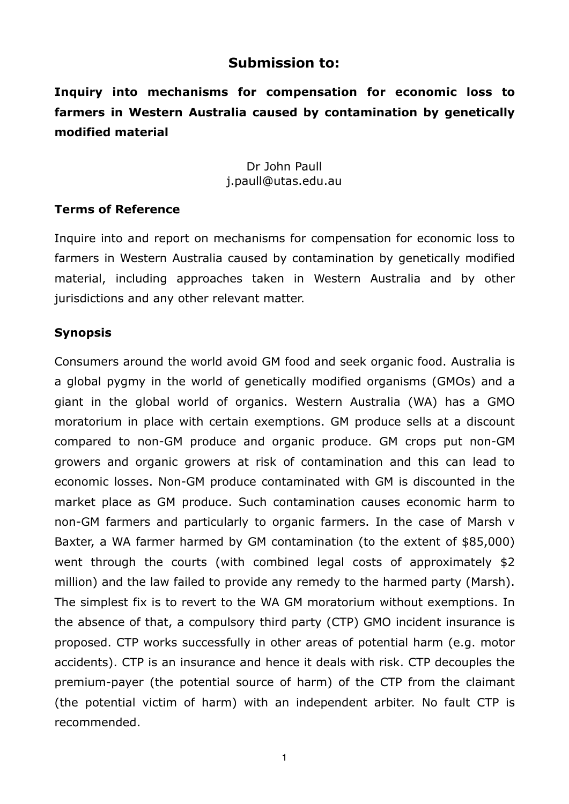# **Submission to:**

**Inquiry into mechanisms for compensation for economic loss to farmers in Western Australia caused by contamination by genetically modified material**

### Dr John Paull [j.paull@utas.edu.au](mailto:j.paull@utas.edu.au)

### **Terms of Reference**

Inquire into and report on mechanisms for compensation for economic loss to farmers in Western Australia caused by contamination by genetically modified material, including approaches taken in Western Australia and by other jurisdictions and any other relevant matter.

### **Synopsis**

Consumers around the world avoid GM food and seek organic food. Australia is a global pygmy in the world of genetically modified organisms (GMOs) and a giant in the global world of organics. Western Australia (WA) has a GMO moratorium in place with certain exemptions. GM produce sells at a discount compared to non-GM produce and organic produce. GM crops put non-GM growers and organic growers at risk of contamination and this can lead to economic losses. Non-GM produce contaminated with GM is discounted in the market place as GM produce. Such contamination causes economic harm to non-GM farmers and particularly to organic farmers. In the case of Marsh v Baxter, a WA farmer harmed by GM contamination (to the extent of \$85,000) went through the courts (with combined legal costs of approximately \$2 million) and the law failed to provide any remedy to the harmed party (Marsh). The simplest fix is to revert to the WA GM moratorium without exemptions. In the absence of that, a compulsory third party (CTP) GMO incident insurance is proposed. CTP works successfully in other areas of potential harm (e.g. motor accidents). CTP is an insurance and hence it deals with risk. CTP decouples the premium-payer (the potential source of harm) of the CTP from the claimant (the potential victim of harm) with an independent arbiter. No fault CTP is recommended.

1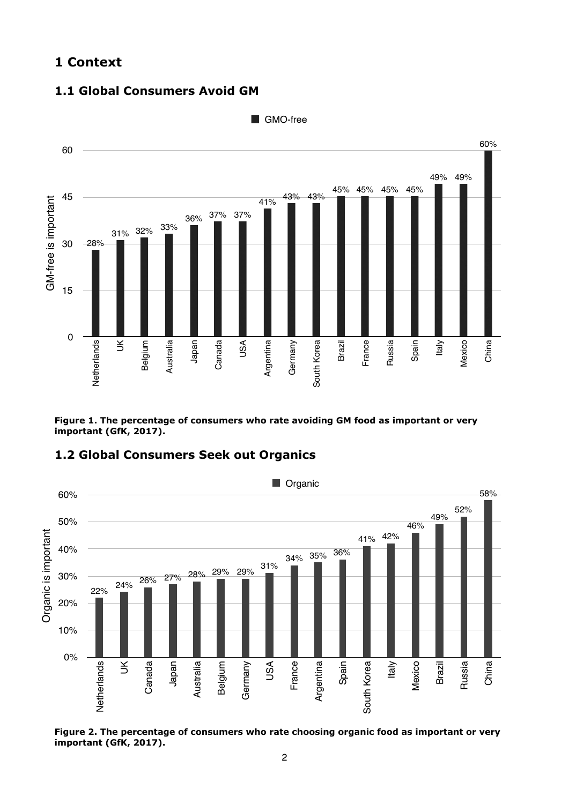## **1 Context**

#### **1.1 Global Consumers Avoid GM**



**Figure 1. The percentage of consumers who rate avoiding GM food as important or very important (GfK, 2017).** 

### **1.2 Global Consumers Seek out Organics**



**Figure 2. The percentage of consumers who rate choosing organic food as important or very important (GfK, 2017).**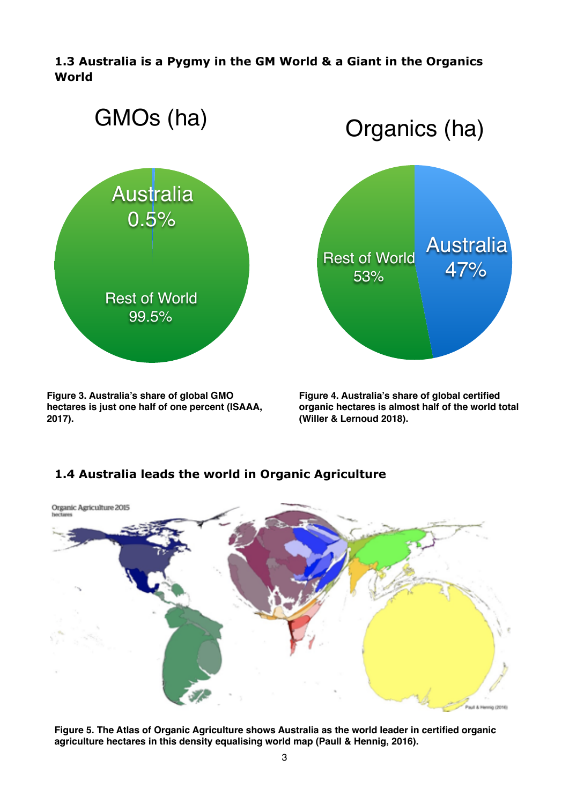**1.3 Australia is a Pygmy in the GM World & a Giant in the Organics World** 



**Figure 3. Australia's share of global GMO hectares is just one half of one percent (ISAAA, 2017).**

Organics (ha) Rest of World 53% Australia 47%

**Figure 4. Australia's share of global certified organic hectares is almost half of the world total (Willer & Lernoud 2018).**

## **1.4 Australia leads the world in Organic Agriculture**



**Figure 5. The Atlas of Organic Agriculture shows Australia as the world leader in certified organic agriculture hectares in this density equalising world map (Paull & Hennig, 2016).**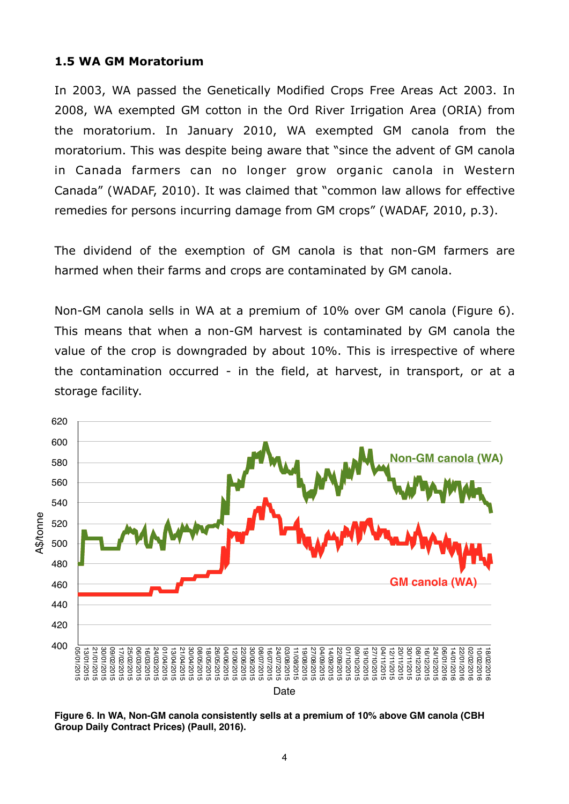#### **1.5 WA GM Moratorium**

In 2003, WA passed the Genetically Modified Crops Free Areas Act 2003. In 2008, WA exempted GM cotton in the Ord River Irrigation Area (ORIA) from the moratorium. In January 2010, WA exempted GM canola from the moratorium. This was despite being aware that "since the advent of GM canola in Canada farmers can no longer grow organic canola in Western Canada" (WADAF, 2010). It was claimed that "common law allows for effective remedies for persons incurring damage from GM crops" (WADAF, 2010, p.3).

The dividend of the exemption of GM canola is that non-GM farmers are harmed when their farms and crops are contaminated by GM canola.

Non-GM canola sells in WA at a premium of 10% over GM canola (Figure 6). This means that when a non-GM harvest is contaminated by GM canola the value of the crop is downgraded by about 10%. This is irrespective of where the contamination occurred - in the field, at harvest, in transport, or at a storage facility.



**Figure 6. In WA, Non-GM canola consistently sells at a premium of 10% above GM canola (CBH Group Daily Contract Prices) (Paull, 2016).**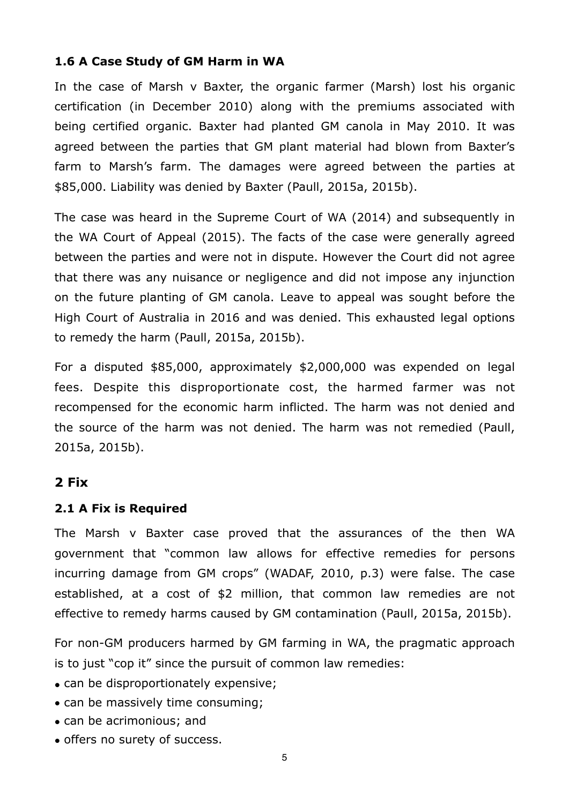## **1.6 A Case Study of GM Harm in WA**

In the case of Marsh v Baxter, the organic farmer (Marsh) lost his organic certification (in December 2010) along with the premiums associated with being certified organic. Baxter had planted GM canola in May 2010. It was agreed between the parties that GM plant material had blown from Baxter's farm to Marsh's farm. The damages were agreed between the parties at \$85,000. Liability was denied by Baxter (Paull, 2015a, 2015b).

The case was heard in the Supreme Court of WA (2014) and subsequently in the WA Court of Appeal (2015). The facts of the case were generally agreed between the parties and were not in dispute. However the Court did not agree that there was any nuisance or negligence and did not impose any injunction on the future planting of GM canola. Leave to appeal was sought before the High Court of Australia in 2016 and was denied. This exhausted legal options to remedy the harm (Paull, 2015a, 2015b).

For a disputed \$85,000, approximately \$2,000,000 was expended on legal fees. Despite this disproportionate cost, the harmed farmer was not recompensed for the economic harm inflicted. The harm was not denied and the source of the harm was not denied. The harm was not remedied (Paull, 2015a, 2015b).

## **2 Fix**

## **2.1 A Fix is Required**

The Marsh v Baxter case proved that the assurances of the then WA government that "common law allows for effective remedies for persons incurring damage from GM crops" (WADAF, 2010, p.3) were false. The case established, at a cost of \$2 million, that common law remedies are not effective to remedy harms caused by GM contamination (Paull, 2015a, 2015b).

For non-GM producers harmed by GM farming in WA, the pragmatic approach is to just "cop it" since the pursuit of common law remedies:

- can be disproportionately expensive;
- can be massively time consuming;
- can be acrimonious; and
- offers no surety of success.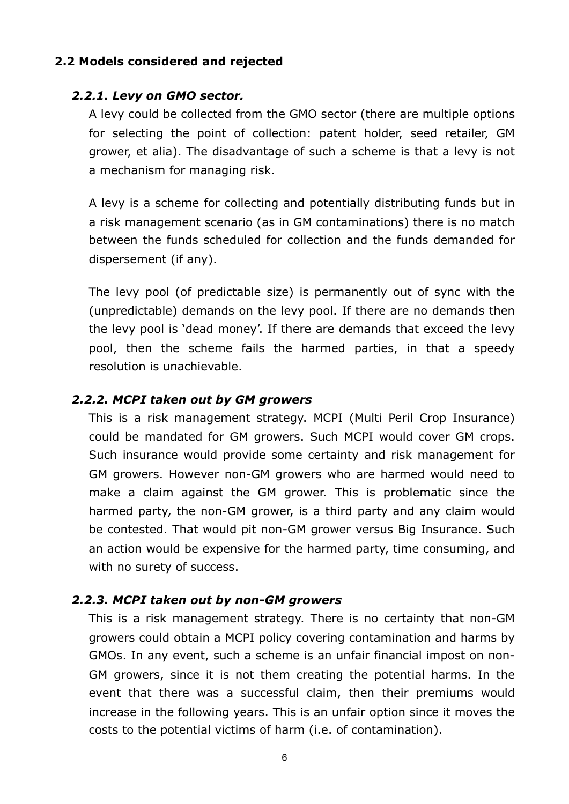### **2.2 Models considered and rejected**

### *2.2.1. Levy on GMO sector.*

A levy could be collected from the GMO sector (there are multiple options for selecting the point of collection: patent holder, seed retailer, GM grower, et alia). The disadvantage of such a scheme is that a levy is not a mechanism for managing risk.

A levy is a scheme for collecting and potentially distributing funds but in a risk management scenario (as in GM contaminations) there is no match between the funds scheduled for collection and the funds demanded for dispersement (if any).

The levy pool (of predictable size) is permanently out of sync with the (unpredictable) demands on the levy pool. If there are no demands then the levy pool is 'dead money'. If there are demands that exceed the levy pool, then the scheme fails the harmed parties, in that a speedy resolution is unachievable.

#### *2.2.2. MCPI taken out by GM growers*

This is a risk management strategy. MCPI (Multi Peril Crop Insurance) could be mandated for GM growers. Such MCPI would cover GM crops. Such insurance would provide some certainty and risk management for GM growers. However non-GM growers who are harmed would need to make a claim against the GM grower. This is problematic since the harmed party, the non-GM grower, is a third party and any claim would be contested. That would pit non-GM grower versus Big Insurance. Such an action would be expensive for the harmed party, time consuming, and with no surety of success.

#### *2.2.3. MCPI taken out by non-GM growers*

This is a risk management strategy. There is no certainty that non-GM growers could obtain a MCPI policy covering contamination and harms by GMOs. In any event, such a scheme is an unfair financial impost on non-GM growers, since it is not them creating the potential harms. In the event that there was a successful claim, then their premiums would increase in the following years. This is an unfair option since it moves the costs to the potential victims of harm (i.e. of contamination).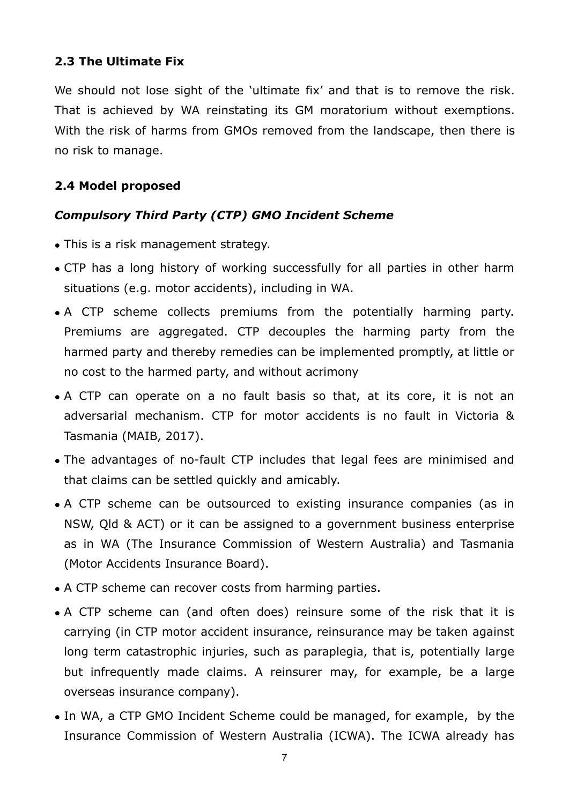## **2.3 The Ultimate Fix**

We should not lose sight of the 'ultimate fix' and that is to remove the risk. That is achieved by WA reinstating its GM moratorium without exemptions. With the risk of harms from GMOs removed from the landscape, then there is no risk to manage.

## **2.4 Model proposed**

# *Compulsory Third Party (CTP) GMO Incident Scheme*

- This is a risk management strategy.
- CTP has a long history of working successfully for all parties in other harm situations (e.g. motor accidents), including in WA.
- A CTP scheme collects premiums from the potentially harming party. Premiums are aggregated. CTP decouples the harming party from the harmed party and thereby remedies can be implemented promptly, at little or no cost to the harmed party, and without acrimony
- A CTP can operate on a no fault basis so that, at its core, it is not an adversarial mechanism. CTP for motor accidents is no fault in Victoria & Tasmania (MAIB, 2017).
- The advantages of no-fault CTP includes that legal fees are minimised and that claims can be settled quickly and amicably.
- A CTP scheme can be outsourced to existing insurance companies (as in NSW, Qld & ACT) or it can be assigned to a government business enterprise as in WA (The Insurance Commission of Western Australia) and Tasmania (Motor Accidents Insurance Board).
- A CTP scheme can recover costs from harming parties.
- A CTP scheme can (and often does) reinsure some of the risk that it is carrying (in CTP motor accident insurance, reinsurance may be taken against long term catastrophic injuries, such as paraplegia, that is, potentially large but infrequently made claims. A reinsurer may, for example, be a large overseas insurance company).
- In WA, a CTP GMO Incident Scheme could be managed, for example, by the Insurance Commission of Western Australia (ICWA). The ICWA already has